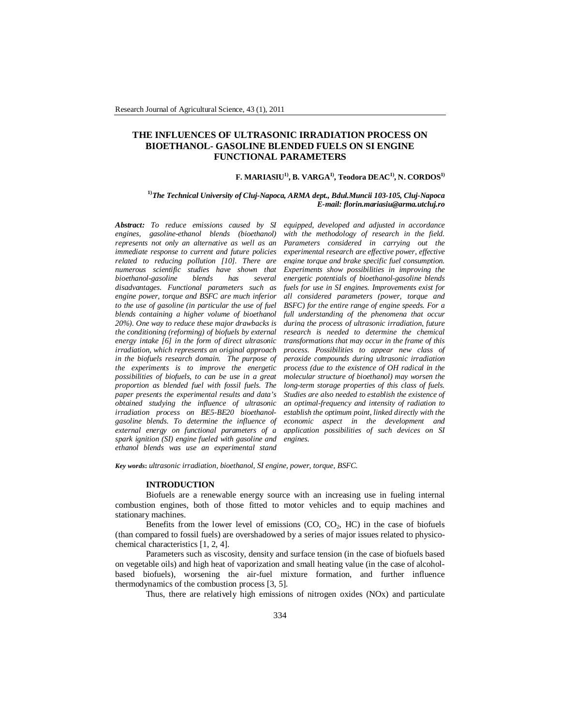# **THE INFLUENCES OF ULTRASONIC IRRADIATION PROCESS ON BIOETHANOL- GASOLINE BLENDED FUELS ON SI ENGINE FUNCTIONAL PARAMETERS**

### **F. MARIASIU1), B. VARGA1), Teodora DEAC1) , N. CORDOS1)**

### **1)***The Technical University of Cluj-Napoca, ARMA dept., Bdul.Muncii 103-105, Cluj-Napoca E-mail: florin.mariasiu@arma.utcluj.ro*

*Abstract: To reduce emissions caused by SI engines, gasoline-ethanol blends (bioethanol) represents not only an alternative as well as an immediate response to current and future policies related to reducing pollution [10]. There are numerous scientific studies have shown that bioethanol-gasoline blends has several disadvantages. Functional parameters such as engine power, torque and BSFC are much inferior to the use of gasoline (in particular the use of fuel blends containing a higher volume of bioethanol 20%). One way to reduce these major drawbacks is the conditioning (reforming) of biofuels by external energy intake [6] in the form of direct ultrasonic irradiation, which represents an original approach in the biofuels research domain. The purpose of the experiments is to improve the energetic possibilities of biofuels, to can be use in a great proportion as blended fuel with fossil fuels. The paper presents the experimental results and data's obtained studying the influence of ultrasonic irradiation process on BE5-BE20 bioethanolgasoline blends. To determine the influence of external energy on functional parameters of a spark ignition (SI) engine fueled with gasoline and ethanol blends was use an experimental stand* 

*equipped, developed and adjusted in accordance with the methodology of research in the field. Parameters considered in carrying out the experimental research are effective power, effective engine torque and brake specific fuel consumption. Experiments show possibilities in improving the energetic potentials of bioethanol-gasoline blends fuels for use in SI engines. Improvements exist for all considered parameters (power, torque and BSFC) for the entire range of engine speeds. For a full understanding of the phenomena that occur during the process of ultrasonic irradiation, future research is needed to determine the chemical transformations that may occur in the frame of this process. Possibilities to appear new class of peroxide compounds during ultrasonic irradiation process (due to the existence of OH radical in the molecular structure of bioethanol) may worsen the long-term storage properties of this class of fuels. Studies are also needed to establish the existence of an optimal-frequency and intensity of radiation to establish the optimum point, linked directly with the economic aspect in the development and application possibilities of such devices on SI engines.*

*Key words***:** *ultrasonic irradiation, bioethanol, SI engine, power, torque, BSFC.*

#### **INTRODUCTION**

Biofuels are a renewable energy source with an increasing use in fueling internal combustion engines, both of those fitted to motor vehicles and to equip machines and stationary machines.

Benefits from the lower level of emissions  $(CO, CO<sub>2</sub>, HC)$  in the case of biofuels (than compared to fossil fuels) are overshadowed by a series of major issues related to physicochemical characteristics [1, 2, 4].

Parameters such as viscosity, density and surface tension (in the case of biofuels based on vegetable oils) and high heat of vaporization and small heating value (in the case of alcoholbased biofuels), worsening the air-fuel mixture formation, and further influence thermodynamics of the combustion process [3, 5].

Thus, there are relatively high emissions of nitrogen oxides (NOx) and particulate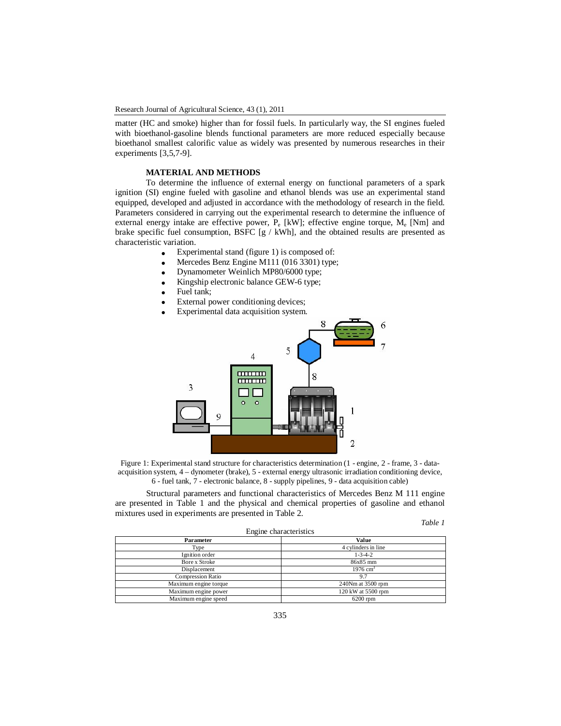matter (HC and smoke) higher than for fossil fuels. In particularly way, the SI engines fueled with bioethanol-gasoline blends functional parameters are more reduced especially because bioethanol smallest calorific value as widely was presented by numerous researches in their experiments [3,5,7-9].

# **MATERIAL AND METHODS**

To determine the influence of external energy on functional parameters of a spark ignition (SI) engine fueled with gasoline and ethanol blends was use an experimental stand equipped, developed and adjusted in accordance with the methodology of research in the field. Parameters considered in carrying out the experimental research to determine the influence of external energy intake are effective power,  $P_e$  [kW]; effective engine torque,  $M_e$  [Nm] and brake specific fuel consumption, BSFC  $[g / kWh]$ , and the obtained results are presented as characteristic variation.

- Experimental stand (figure 1) is composed of:
- Mercedes Benz Engine M111 (016 3301) type;
- Dynamometer Weinlich MP80/6000 type;
- Kingship electronic balance GEW-6 type;
- Fuel tank;
- External power conditioning devices;
- Experimental data acquisition system.



Figure 1: Experimental stand structure for characteristics determination (1 - engine, 2 - frame, 3 - dataacquisition system, 4 – dynometer (brake), 5 - external energy ultrasonic irradiation conditioning device, 6 - fuel tank, 7 - electronic balance, 8 - supply pipelines, 9 - data acquisition cable)

Structural parameters and functional characteristics of Mercedes Benz M 111 engine are presented in Table 1 and the physical and chemical properties of gasoline and ethanol mixtures used in experiments are presented in Table 2.

*Table 1*

| Engine characteristics   | ------              |
|--------------------------|---------------------|
| Parameter                | Value               |
| Type                     | 4 cylinders in line |
| Ignition order           | $1 - 3 - 4 - 2$     |
| Bore x Stroke            | 86x85 mm            |
| Displacement             | $1976 \text{ cm}^3$ |
| <b>Compression Ratio</b> | 9.7                 |
| Maximum engine torque    | 240Nm at 3500 rpm   |
| Maximum engine power     | 120 kW at 5500 rpm  |
| Maximum engine speed     | $6200$ rpm          |
|                          |                     |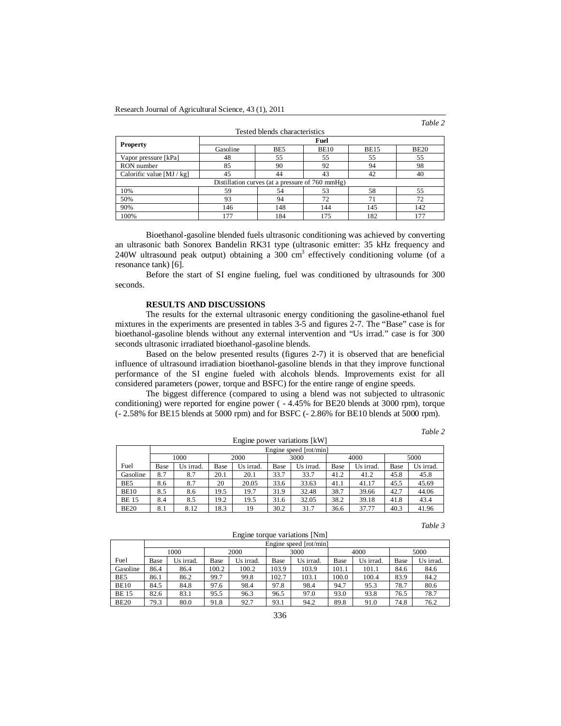*Table 2*

|                           |          |                                                 |             |             | Tuvic 1     |  |  |  |  |
|---------------------------|----------|-------------------------------------------------|-------------|-------------|-------------|--|--|--|--|
|                           |          | Tested blends characteristics                   |             |             |             |  |  |  |  |
|                           | Fuel     |                                                 |             |             |             |  |  |  |  |
| <b>Property</b>           | Gasoline | BE5                                             | <b>BE10</b> |             | <b>BE20</b> |  |  |  |  |
| Vapor pressure [kPa]      | 48       | 55                                              | 55          | 55          | 55          |  |  |  |  |
| RON number                | 85       | 90                                              | 92          | 94          | 98          |  |  |  |  |
| Calorific value $[MJ/kg]$ | 45       | 44                                              | 43          | 42          | 40          |  |  |  |  |
|                           |          | Distillation curves (at a pressure of 760 mmHg) |             |             |             |  |  |  |  |
| 10%                       | 59       | 54                                              | 53          | 58          | 55          |  |  |  |  |
| 50%                       | 93       | 94                                              | 72          | $7^{\circ}$ | 72          |  |  |  |  |
| 90%                       | 146      | 148                                             | 144         | 145         | 142         |  |  |  |  |
| 100%                      | 177      | 184                                             | 175         | 182         | 177         |  |  |  |  |

Bioethanol-gasoline blended fuels ultrasonic conditioning was achieved by converting an ultrasonic bath Sonorex Bandelin RK31 type (ultrasonic emitter: 35 kHz frequency and 240W ultrasound peak output) obtaining a 300 cm<sup>3</sup> effectively conditioning volume (of a resonance tank) [6].

Before the start of SI engine fueling, fuel was conditioned by ultrasounds for 300 seconds.

# **RESULTS AND DISCUSSIONS**

The results for the external ultrasonic energy conditioning the gasoline-ethanol fuel mixtures in the experiments are presented in tables 3-5 and figures 2-7. The "Base" case is for bioethanol-gasoline blends without any external intervention and "Us irrad." case is for 300 seconds ultrasonic irradiated bioethanol-gasoline blends.

Based on the below presented results (figures 2-7) it is observed that are beneficial influence of ultrasound irradiation bioethanol-gasoline blends in that they improve functional performance of the SI engine fueled with alcohols blends. Improvements exist for all considered parameters (power, torque and BSFC) for the entire range of engine speeds.

The biggest difference (compared to using a blend was not subjected to ultrasonic conditioning) were reported for engine power ( - 4.45% for BE20 blends at 3000 rpm), torque (- 2.58% for BE15 blends at 5000 rpm) and for BSFC (- 2.86% for BE10 blends at 5000 rpm).

| anı |  |
|-----|--|
|     |  |

|                              |      |                        |      |           |      |           |      |           |      | $\sqrt{2}$ |  |
|------------------------------|------|------------------------|------|-----------|------|-----------|------|-----------|------|------------|--|
| Engine power variations [kW] |      |                        |      |           |      |           |      |           |      |            |  |
|                              |      | Engine speed [rot/min] |      |           |      |           |      |           |      |            |  |
|                              |      | 1000                   |      | 2000      |      | 3000      |      | 4000      |      | 5000       |  |
| Fuel                         | Base | Us irrad.              | Base | Us irrad. | Base | Us irrad. | Base | Us irrad. | Base | Us irrad.  |  |
| Gasoline                     | 8.7  | 8.7                    | 20.1 | 20.1      | 33.7 | 33.7      | 41.2 | 41.2      | 45.8 | 45.8       |  |
| BE5                          | 8.6  | 8.7                    | 20   | 20.05     | 33.6 | 33.63     | 41.1 | 41.17     | 45.5 | 45.69      |  |
| <b>BE10</b>                  | 8.5  | 8.6                    | 19.5 | 19.7      | 31.9 | 32.48     | 38.7 | 39.66     | 42.7 | 44.06      |  |
| <b>BE15</b>                  | 8.4  | 8.5                    | 19.2 | 19.5      | 31.6 | 32.05     | 38.2 | 39.18     | 41.8 | 43.4       |  |
| <b>BE20</b>                  | 8.1  | 8.12                   | 18.3 | 19        | 30.2 | 31.7      | 36.6 | 37.77     | 40.3 | 41.96      |  |

| anı |  |
|-----|--|
|-----|--|

| Engine torque variations [NIII] |              |                        |       |           |       |           |       |           |      |           |
|---------------------------------|--------------|------------------------|-------|-----------|-------|-----------|-------|-----------|------|-----------|
|                                 |              | Engine speed [rot/min] |       |           |       |           |       |           |      |           |
|                                 | 1000<br>2000 |                        | 3000  |           | 4000  |           | 5000  |           |      |           |
| Fuel                            | Base         | Us irrad.              | Base  | Us irrad. | Base  | Us irrad. | Base  | Us irrad. | Base | Us irrad. |
| Gasoline                        | 86.4         | 86.4                   | 100.2 | 100.2     | 103.9 | 103.9     | 101.1 | 101.1     | 84.6 | 84.6      |
| BE5                             | 86.1         | 86.2                   | 99.7  | 99.8      | 102.7 | 103.1     | 100.0 | 100.4     | 83.9 | 84.2      |
| <b>BE10</b>                     | 84.5         | 84.8                   | 97.6  | 98.4      | 97.8  | 98.4      | 94.7  | 95.3      | 78.7 | 80.6      |
| <b>BE15</b>                     | 82.6         | 83.1                   | 95.5  | 96.3      | 96.5  | 97.0      | 93.0  | 93.8      | 76.5 | 78.7      |
| <b>BE20</b>                     | 79.3         | 80.0                   | 91.8  | 92.7      | 93.1  | 94.2      | 89.8  | 91.0      | 74.8 | 76.2      |

Engine torque variations [Nm]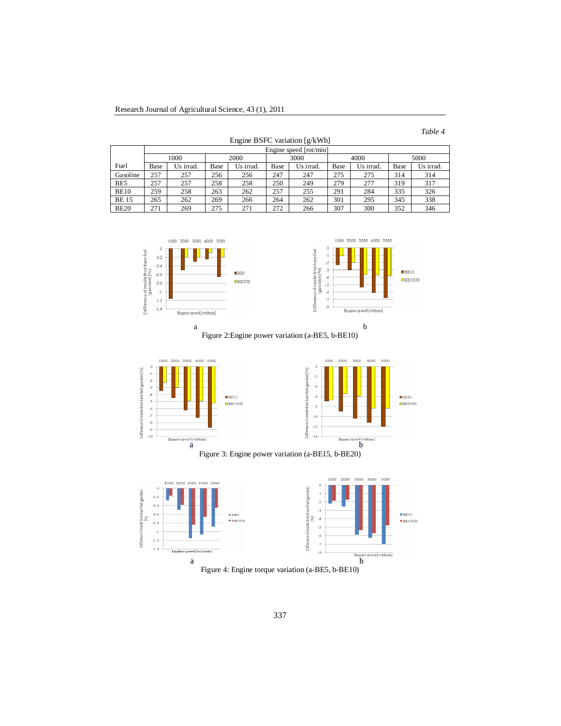| abl |  |
|-----|--|
|-----|--|

|             |      |                        |      |           |      |                                 |      |           |      | ------    |  |
|-------------|------|------------------------|------|-----------|------|---------------------------------|------|-----------|------|-----------|--|
|             |      |                        |      |           |      | Engine BSFC variation $[g/kWh]$ |      |           |      |           |  |
|             |      | Engine speed [rot/min] |      |           |      |                                 |      |           |      |           |  |
|             |      | 1000                   |      | 2000      |      | 3000                            |      | 4000      |      | 5000      |  |
| Fuel        | Base | Us irrad.              | Base | Us irrad. | Base | Us irrad.                       | Base | Us irrad. | Base | Us irrad. |  |
| Gasoline    | 257  | 257                    | 256  | 256       | 247  | 247                             | 275  | 275       | 314  | 314       |  |
| BE5         | 257  | 257                    | 258  | 258       | 250  | 249                             | 279  | 277       | 319  | 317       |  |
| <b>BE10</b> | 259  | 258                    | 263  | 262       | 257  | 255                             | 291  | 284       | 335  | 326       |  |
| <b>BE15</b> | 265  | 262                    | 269  | 266       | 264  | 262                             | 301  | 295       | 345  | 338       |  |
| <b>BE20</b> | 271  | 269                    | 275  | 271       | 272  | 266                             | 307  | 300       | 352  | 346       |  |





Figure 2:Engine power variation (a-BE5, b-BE10)







Figure 4: Engine torque variation (a-BE5, b-BE10)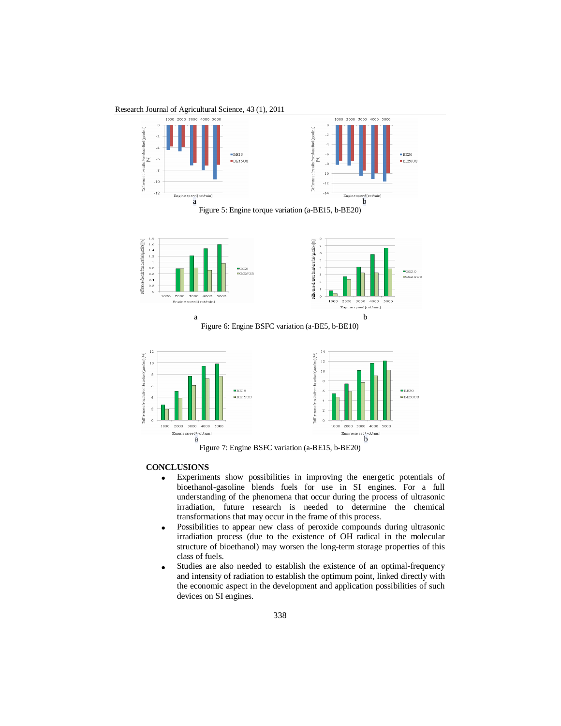Research Journal of Agricultural Science, 43 (1), 2011





Figure 7: Engine BSFC variation (a-BE15, b-BE20)

### **CONCLUSIONS**

- Experiments show possibilities in improving the energetic potentials of bioethanol-gasoline blends fuels for use in SI engines. For a full understanding of the phenomena that occur during the process of ultrasonic irradiation, future research is needed to determine the chemical transformations that may occur in the frame of this process.
- Possibilities to appear new class of peroxide compounds during ultrasonic irradiation process (due to the existence of OH radical in the molecular structure of bioethanol) may worsen the long-term storage properties of this class of fuels.
- Studies are also needed to establish the existence of an optimal-frequency and intensity of radiation to establish the optimum point, linked directly with the economic aspect in the development and application possibilities of such devices on SI engines.